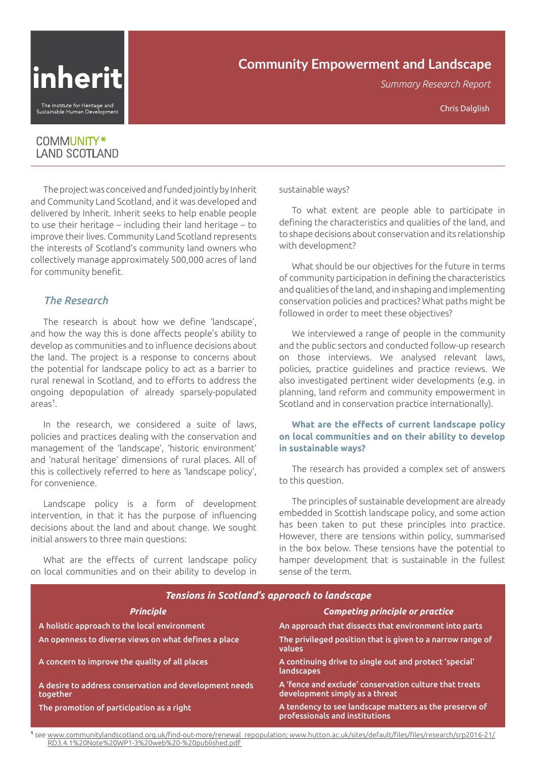

# **Community Empowerment and Landscape**

*Summary Research Report*

# COMMUNITY\* **LAND SCOTLAND**

The project was conceived and funded jointly by Inherit and Community Land Scotland, and it was developed and delivered by Inherit. Inherit seeks to help enable people to use their heritage – including their land heritage – to improve their lives. Community Land Scotland represents the interests of Scotland's community land owners who collectively manage approximately 500,000 acres of land for community benefit.

# *The Research*

The research is about how we define 'landscape', and how the way this is done affects people's ability to develop as communities and to influence decisions about the land. The project is a response to concerns about the potential for landscape policy to act as a barrier to rural renewal in Scotland, and to efforts to address the ongoing depopulation of already sparsely-populated  $area<sup>1</sup>$ .

In the research, we considered a suite of laws, policies and practices dealing with the conservation and management of the 'landscape', 'historic environment' and 'natural heritage' dimensions of rural places. All of this is collectively referred to here as 'landscape policy', for convenience.

Landscape policy is a form of development intervention, in that it has the purpose of influencing decisions about the land and about change. We sought initial answers to three main questions:

What are the effects of current landscape policy on local communities and on their ability to develop in

sustainable ways?

To what extent are people able to participate in defining the characteristics and qualities of the land, and to shape decisions about conservation and its relationship with development?

What should be our objectives for the future in terms of community participation in defining the characteristics and qualities of the land, and in shaping and implementing conservation policies and practices? What paths might be followed in order to meet these objectives?

We interviewed a range of people in the community and the public sectors and conducted follow-up research on those interviews. We analysed relevant laws, policies, practice guidelines and practice reviews. We also investigated pertinent wider developments (e.g. in planning, land reform and community empowerment in Scotland and in conservation practice internationally).

### **What are the effects of current landscape policy on local communities and on their ability to develop in sustainable ways?**

The research has provided a complex set of answers to this question.

The principles of sustainable development are already embedded in Scottish landscape policy, and some action has been taken to put these principles into practice. However, there are tensions within policy, summarised in the box below. These tensions have the potential to hamper development that is sustainable in the fullest sense of the term.

| <b>Tensions in Scotland's approach to landscape</b>                |                                                                                          |
|--------------------------------------------------------------------|------------------------------------------------------------------------------------------|
| Princip <u>le</u>                                                  | <b>Competing principle or practice</b>                                                   |
| A holistic approach to the local environment                       | An approach that dissects that environment into parts                                    |
| An openness to diverse views on what defines a place               | The privileged position that is given to a narrow range of<br>values                     |
| A concern to improve the quality of all places                     | A continuing drive to single out and protect 'special'<br>landscapes                     |
| A desire to address conservation and development needs<br>together | A 'fence and exclude' conservation culture that treats<br>development simply as a threat |
| The promotion of participation as a right                          | A tendency to see landscape matters as the preserve of<br>professionals and institutions |

**1** see [www.communitylandscotland.org.uk/find-out-more/renewal\\_repopulation; www.hutton.ac.uk/sites/default/files/files/research/srp2016-21/](http://www.communitylandscotland.org.uk/find-out-more/renewal_repopulation; www.hutton.ac.uk/sites/default/files/files/research/srp2016-21/RD3.4.1%20Note%20WP1-3%20web%20-%20published.pdf ) [RD3.4.1%20Note%20WP1-3%20web%20-%20published.pdf](http://www.communitylandscotland.org.uk/find-out-more/renewal_repopulation; www.hutton.ac.uk/sites/default/files/files/research/srp2016-21/RD3.4.1%20Note%20WP1-3%20web%20-%20published.pdf )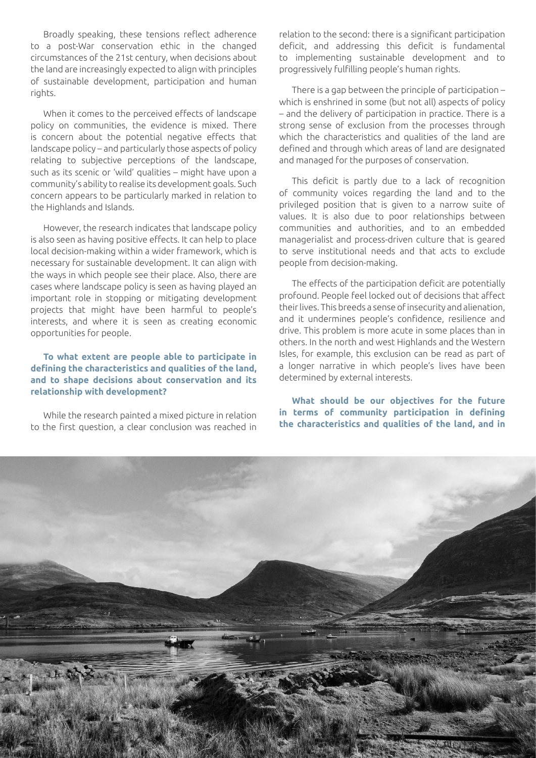Broadly speaking, these tensions reflect adherence to a post-War conservation ethic in the changed circumstances of the 21st century, when decisions about the land are increasingly expected to align with principles of sustainable development, participation and human rights.

When it comes to the perceived effects of landscape policy on communities, the evidence is mixed. There is concern about the potential negative effects that landscape policy – and particularly those aspects of policy relating to subjective perceptions of the landscape, such as its scenic or 'wild' qualities – might have upon a community's ability to realise its development goals. Such concern appears to be particularly marked in relation to the Highlands and Islands.

However, the research indicates that landscape policy is also seen as having positive effects. It can help to place local decision-making within a wider framework, which is necessary for sustainable development. It can align with the ways in which people see their place. Also, there are cases where landscape policy is seen as having played an important role in stopping or mitigating development projects that might have been harmful to people's interests, and where it is seen as creating economic opportunities for people.

**To what extent are people able to participate in defining the characteristics and qualities of the land, and to shape decisions about conservation and its relationship with development?**

While the research painted a mixed picture in relation to the first question, a clear conclusion was reached in relation to the second: there is a significant participation deficit, and addressing this deficit is fundamental to implementing sustainable development and to progressively fulfilling people's human rights.

There is a gap between the principle of participation – which is enshrined in some (but not all) aspects of policy – and the delivery of participation in practice. There is a strong sense of exclusion from the processes through which the characteristics and qualities of the land are defined and through which areas of land are designated and managed for the purposes of conservation.

This deficit is partly due to a lack of recognition of community voices regarding the land and to the privileged position that is given to a narrow suite of values. It is also due to poor relationships between communities and authorities, and to an embedded managerialist and process-driven culture that is geared to serve institutional needs and that acts to exclude people from decision-making.

The effects of the participation deficit are potentially profound. People feel locked out of decisions that affect their lives. This breeds a sense of insecurity and alienation, and it undermines people's confidence, resilience and drive. This problem is more acute in some places than in others. In the north and west Highlands and the Western Isles, for example, this exclusion can be read as part of a longer narrative in which people's lives have been determined by external interests.

**What should be our objectives for the future in terms of community participation in defining the characteristics and qualities of the land, and in** 

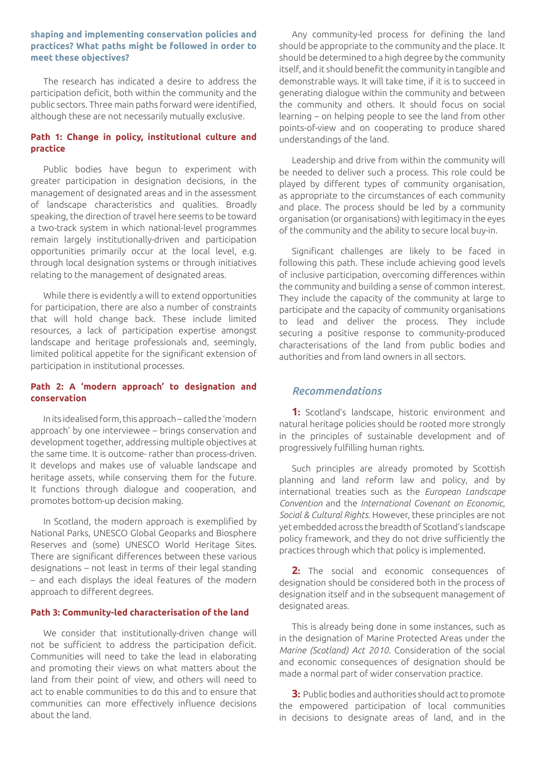#### **shaping and implementing conservation policies and practices? What paths might be followed in order to meet these objectives?**

The research has indicated a desire to address the participation deficit, both within the community and the public sectors. Three main paths forward were identified, although these are not necessarily mutually exclusive.

### **Path 1: Change in policy, institutional culture and practice**

Public bodies have begun to experiment with greater participation in designation decisions, in the management of designated areas and in the assessment of landscape characteristics and qualities. Broadly speaking, the direction of travel here seems to be toward a two-track system in which national-level programmes remain largely institutionally-driven and participation opportunities primarily occur at the local level, e.g. through local designation systems or through initiatives relating to the management of designated areas.

While there is evidently a will to extend opportunities for participation, there are also a number of constraints that will hold change back. These include limited resources, a lack of participation expertise amongst landscape and heritage professionals and, seemingly, limited political appetite for the significant extension of participation in institutional processes.

### **Path 2: A 'modern approach' to designation and conservation**

In its idealised form, this approach – called the 'modern approach' by one interviewee – brings conservation and development together, addressing multiple objectives at the same time. It is outcome- rather than process-driven. It develops and makes use of valuable landscape and heritage assets, while conserving them for the future. It functions through dialogue and cooperation, and promotes bottom-up decision making.

In Scotland, the modern approach is exemplified by National Parks, UNESCO Global Geoparks and Biosphere Reserves and (some) UNESCO World Heritage Sites. There are significant differences between these various designations – not least in terms of their legal standing – and each displays the ideal features of the modern approach to different degrees.

#### **Path 3: Community-led characterisation of the land**

We consider that institutionally-driven change will not be sufficient to address the participation deficit. Communities will need to take the lead in elaborating and promoting their views on what matters about the land from their point of view, and others will need to act to enable communities to do this and to ensure that communities can more effectively influence decisions about the land.

Any community-led process for defining the land should be appropriate to the community and the place. It should be determined to a high degree by the community itself, and it should benefit the community in tangible and demonstrable ways. It will take time, if it is to succeed in generating dialogue within the community and between the community and others. It should focus on social learning – on helping people to see the land from other points-of-view and on cooperating to produce shared understandings of the land.

Leadership and drive from within the community will be needed to deliver such a process. This role could be played by different types of community organisation, as appropriate to the circumstances of each community and place. The process should be led by a community organisation (or organisations) with legitimacy in the eyes of the community and the ability to secure local buy-in.

Significant challenges are likely to be faced in following this path. These include achieving good levels of inclusive participation, overcoming differences within the community and building a sense of common interest. They include the capacity of the community at large to participate and the capacity of community organisations to lead and deliver the process. They include securing a positive response to community-produced characterisations of the land from public bodies and authorities and from land owners in all sectors.

## *Recommendations*

**1:** Scotland's landscape, historic environment and natural heritage policies should be rooted more strongly in the principles of sustainable development and of progressively fulfilling human rights.

Such principles are already promoted by Scottish planning and land reform law and policy, and by international treaties such as the *European Landscape Convention* and the *International Covenant on Economic*, *Social & Cultural Rights*. However, these principles are not yet embedded across the breadth of Scotland's landscape policy framework, and they do not drive sufficiently the practices through which that policy is implemented.

**2:** The social and economic consequences of designation should be considered both in the process of designation itself and in the subsequent management of designated areas.

This is already being done in some instances, such as in the designation of Marine Protected Areas under the *Marine (Scotland) Act 2010*. Consideration of the social and economic consequences of designation should be made a normal part of wider conservation practice.

**3:** Public bodies and authorities should act to promote the empowered participation of local communities in decisions to designate areas of land, and in the